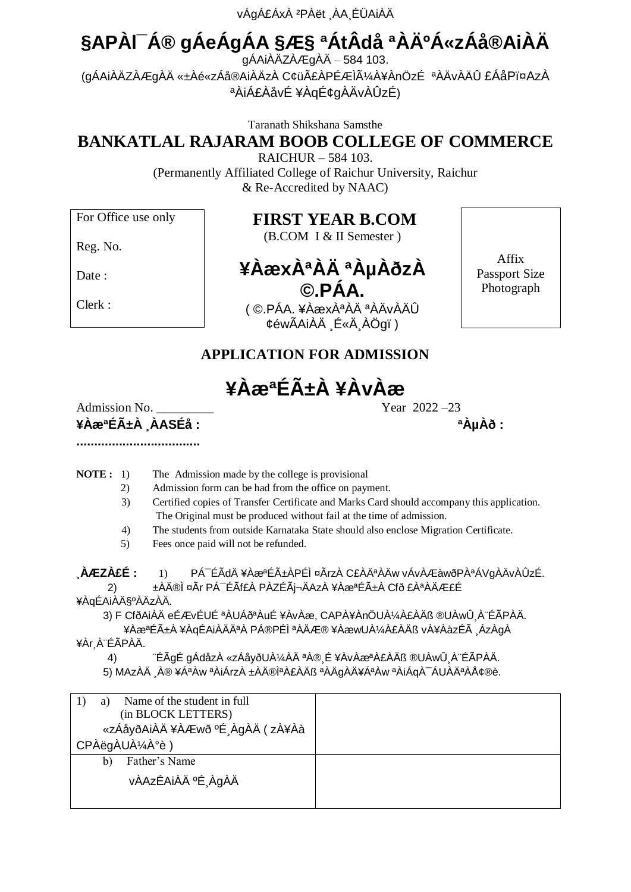vÁgÁ£ÁxÀ ²PÀët ¸ÀA¸ÉÜAiÀÄ

# **§APÀl¯Á® gÁeÁgÁA §Æ§ ªÁtÂdå ªÀĺÁ«zÁå®AiÀÄ**

 $g\acute{A}$ Ai $\ddot{A}Z\acute{A}$ Æg $\ddot{A}\acute{A}$  – 584 103. (gÁAiÀÄZÀÆgÀÄ «±Àé«zÁå®AiÀÄzÀ C¢üãÀPÉÆÌüÀ¥ÀnÖzÉ ªÀÄvÀÄÛ £ÁåPï¤AzÀ ªÀiÁ£ÀåvÉ ¥ÀqÉ¢gÀÄvÀÛzÉ)

Taranath Shikshana Samsthe

# **BANKATLAL RAJARAM BOOB COLLEGE OF COMMERCE**

RAICHUR – 584 103. (Permanently Affiliated College of Raichur University, Raichur & Re-Accredited by NAAC)

For Office use only

#### **FIRST YEAR B.COM**

(B.COM I & II Semester )

Reg. No.

Date:

Clerk :

# **¥ÀæxÀªÀÄ ªÀµÀðzÀ ©.PÁA.**

( ©.PÁA. ¥ÀæxÀªÀÄ ªÀÄvÀÄÛ ¢éwÃAiÀÄ É«Ä ÀÖgï)

Affix Passport Size Photograph

#### **APPLICATION FOR ADMISSION**

**¥ÀæªÉñÀ ¥ÀvÀæ**

Admission No. \_\_\_\_\_\_\_\_\_ Year 2022 –23 **¥ÀæªÉñÀ ¸ÀASÉå : ªÀµÀð :** 

**...................................**

- **NOTE :** 1) The Admission made by the college is provisional
	- 2) Admission form can be had from the office on payment.
	- 3) Certified copies of Transfer Certificate and Marks Card should accompany this application. The Original must be produced without fail at the time of admission.
	- 4) The students from outside Karnataka State should also enclose Migration Certificate.
	- 5) Fees once paid will not be refunded.

**¸ÀÆZÀ£É :** 1) PÁ¯ÉÃdÄ ¥ÀæªÉñÀPÉÌ ¤ÃrzÀ C£ÀĪÀÄw vÁvÀÆàwðPÀªÁVgÀÄvÀÛzÉ. ±ÀÄ®Ì ¤Ãr PÁ<sup>-</sup>ÉÃf£À PÀZÉÃj¬ÄAzÀ ¥ÀæªÉñÀ Cfð £ÀªÀÄÆ£É ¥ÀqÉAiÀħºÀÄzÀÄ.

 3) F CfðAiÀÄ eÉÆvÉUÉ ªÀUÁðªÀuÉ ¥ÀvÀæ, CAPÀ¥ÀnÖUÀ¼À£ÀÄß ®UÀwÛ¸À¨ÉÃPÀÄ. ¥ÀæªÉñÀ ¥ÀqÉAiÀÄĪÀ PÁ®PÉÌ ªÀÄÆ® ¥ÀæwUÀ¼À£ÀÄß vÀ¥ÀàzÉà ¸ÁzÀgÀ

¥Àr¸À¨ÉÃPÀÄ.

 4) ¨ÉÃgÉ gÁdåzÀ «zÁåyðUÀ¼ÀÄ ªÀ®¸É ¥ÀvÀæªÀ£ÀÄß ®UÀwÛ¸À¨ÉÃPÀÄ. 5) MAzÀÄ ¸À® ¥ÁªÀw ªÀiÁrzÀ ±ÀĮ̪À£ÀÄß ªÀÄgÀÄ¥ÁªÀw ªÀiÁqÀ¯ÁUÀĪÀÅ¢®è.

| Name of the student in full<br>(in BLOCK LETTERS)<br>«zÁåyðAiÀÄ¥ÀÆwð ºÉ ÀgÀÄ (zÀ¥Àà |  |
|-------------------------------------------------------------------------------------|--|
| CPÀëgÀUÀ¼À°è)                                                                       |  |
| Father's Name<br>b)                                                                 |  |
| vÀAzÉAiÀÄ ºÉ ÀgÀÄ                                                                   |  |
|                                                                                     |  |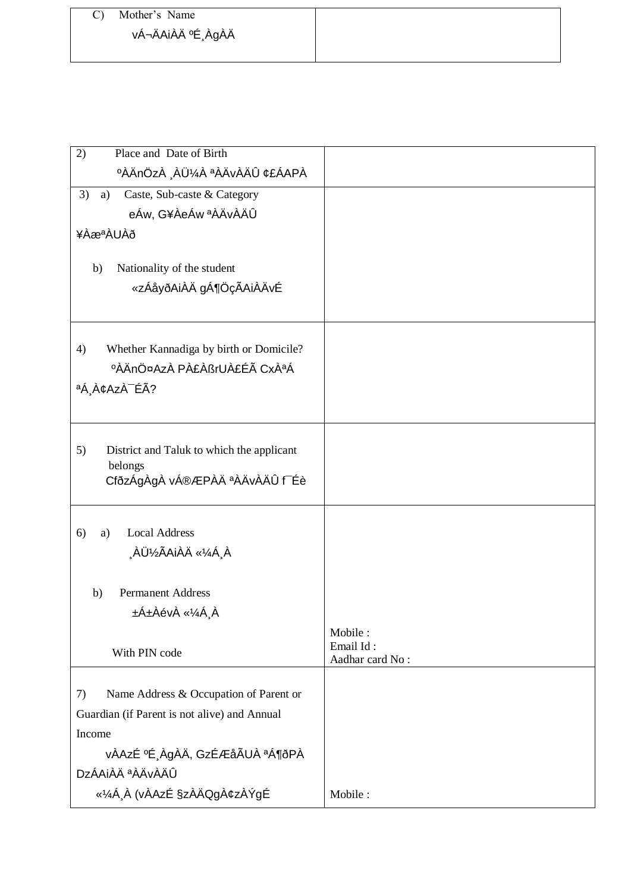### C) Mother's Name vÁ¬ÄAiÀÄ ºÉ¸ÀgÀÄ

| Place and Date of Birth<br>2)                   |                      |
|-------------------------------------------------|----------------------|
| <b>°ÀÄnÖzÀ ¸ÀܼÀ ªÀÄvÀÄÛ ¢£ÁAPÀ</b>              |                      |
| 3)<br>Caste, Sub-caste & Category<br>a)         |                      |
| eÁw, G¥ÀeÁw ªÀÄvÀÄÛ                             |                      |
| ¥ÀæªÀUÀð                                        |                      |
|                                                 |                      |
| Nationality of the student<br>b)                |                      |
| «zÁåyðAiÀÄ gÁ¶ÖçÃAiÀÄvÉ                         |                      |
|                                                 |                      |
| Whether Kannadiga by birth or Domicile?<br>4)   |                      |
| ºÀÄnÖ¤AzÀ PÀ£ÀßrUÀ£Éà CxÀªÁ                     |                      |
| ªÁ¸À¢AzÀ <sup>-</sup> ÉÃ?                       |                      |
|                                                 |                      |
|                                                 |                      |
| 5)<br>District and Taluk to which the applicant |                      |
| belongs                                         |                      |
| CfðzÁgÀgÀ vÁ®ÆPÀÄ ªÀÄvÀÄÛ f Éè                  |                      |
|                                                 |                      |
| <b>Local Address</b><br>6)<br>a)                |                      |
| ÀܽÃAiÀÄ «¼Á À                                   |                      |
|                                                 |                      |
| <b>Permanent Address</b><br>b)                  |                      |
| ±Á±ÀévÀ «¼Á¸À                                   |                      |
| With PIN code                                   | Mobile:<br>Email Id: |
|                                                 | Aadhar card No:      |
| Name Address & Occupation of Parent or<br>7)    |                      |
| Guardian (if Parent is not alive) and Annual    |                      |
| Income                                          |                      |
| vÀAzÉ ºÉ¸ÀgÀÄ, GzÉÆåÃUÀ ªÁ¶ðPÀ                  |                      |
| DzÁAiÀÄ ªÀÄvÀÄÛ                                 |                      |
| «¼Á À (vÀAzÉ §zÀÄQgÀ¢zÀÝgÉ                      | Mobile:              |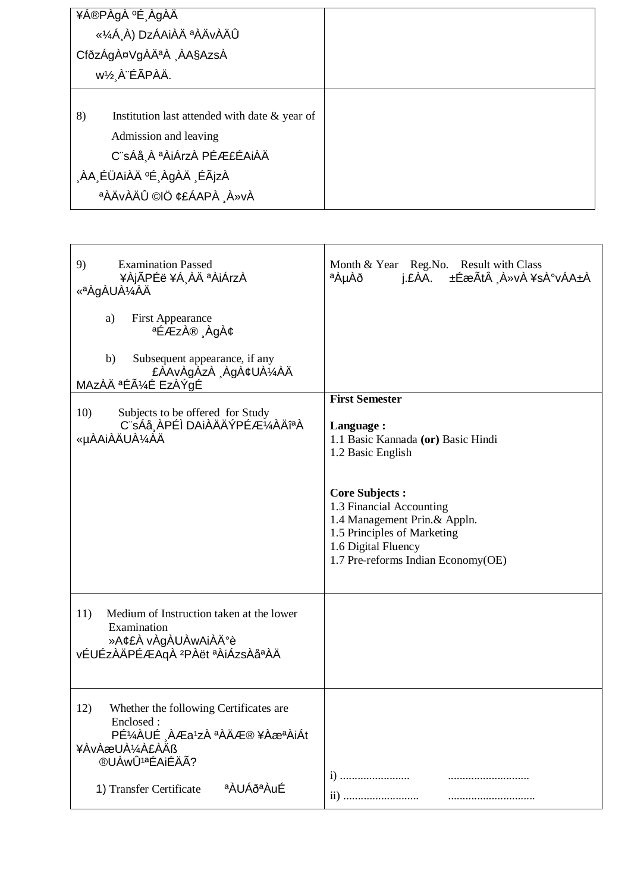| ¥Á®PÀgÀ ºÉ ÀgÀÄ<br>«¼Á À) DzÁAiÀÄ ªÀÄvÀÄÛ<br>CfðzÁgÀ¤VgÀĪÀ ÀA§AzsÀ<br>w½ À ÉÃPÀÄ.                                                                              |  |
|----------------------------------------------------------------------------------------------------------------------------------------------------------------|--|
| 8)<br>Institution last attended with date & year of<br>Admission and leaving<br>C¨sÁå À ªÀiÁrzÀ PÉÆ£ÉAiÀÄ<br>ÀA ÉÜAiÀÄ ºÉ ÀgÀÄ ÉÃjzÀ<br>AÄVAÄÛ ©IÖ ¢£ÁAPÀ A»vÀ |  |

| 9)<br><b>Examination Passed</b><br>¥ÀjÃPÉë ¥Á¸ÀÄ ªÀiÁrzÀ<br>«ªÀgÀUÀ¼ÀÄ<br>a)<br><b>First Appearance</b><br>ªÉÆzÀ® ¸ÀgÀ¢<br>Subsequent appearance, if any<br>b)<br>£ÀAvÀgÀzÀ ¸ÀgÀ¢UÀ¼ÀÄ<br>MAzÀÄ ªÉÃ¼É EzÀÝgÉ | Month & Year Reg. No. Result with Class<br>j.£ÀA. ±ÉæÃt À»vÀ ¥sÀ°vÁA±À<br><sup>a</sup> ÀµÀð                                                                                                                                                                                    |
|--------------------------------------------------------------------------------------------------------------------------------------------------------------------------------------------------------------|--------------------------------------------------------------------------------------------------------------------------------------------------------------------------------------------------------------------------------------------------------------------------------|
| 10)<br>Subjects to be offered for Study<br>C¨sÁå¸ÀPÉÌ DAiÀÄÄÝPÉÆ¼ÀÄîªÀ<br>«µÀAiÀÄUÀ¼ÁÄ                                                                                                                       | <b>First Semester</b><br>Language:<br>1.1 Basic Kannada (or) Basic Hindi<br>1.2 Basic English<br><b>Core Subjects:</b><br>1.3 Financial Accounting<br>1.4 Management Prin.& Appln.<br>1.5 Principles of Marketing<br>1.6 Digital Fluency<br>1.7 Pre-reforms Indian Economy(OE) |
| Medium of Instruction taken at the lower<br>11)<br>Examination<br>»A¢£À vÀgÀUÀwAiÀİè<br>vÉUÉzÀÄPÉÆAqÀ <sup>2</sup> PÀët ªÀiÁzsÀåªÀÄ                                                                          |                                                                                                                                                                                                                                                                                |
| 12)<br>Whether the following Certificates are<br>Enclosed:<br>PɼÀUÉ ÀÆa1zÀ ªÀÄÆ® ¥ÀæªÀiÁt<br>¥ÀvÀæUÀ¼À£ÀÄß<br>®UÀwÛ <sup>1a</sup> ÉAiÉÄÃ?<br>a AUÁða AuÉ<br>1) Transfer Certificate                          |                                                                                                                                                                                                                                                                                |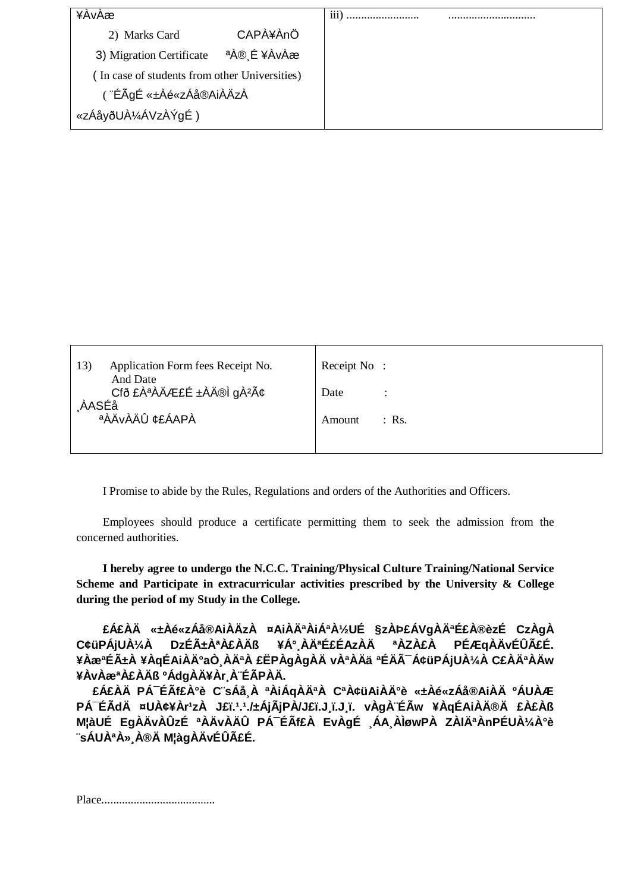| ¥AvAæ                                         |             | 111 |  |
|-----------------------------------------------|-------------|-----|--|
| 2) Marks Card                                 | CAPA¥ÀnÖ    |     |  |
| 3) Migration Certificate                      | ªÀ® É ¥ÀvÀæ |     |  |
| (In case of students from other Universities) |             |     |  |
| (¨ÉÃgÉ «±Àé«zÁå®AiÀÄzÀ                        |             |     |  |
| «zÁåyðUÀ¼ÁVzÀÝgÉ)                             |             |     |  |

| Application Form fees Receipt No.<br>13)                  | Receipt No: |         |
|-----------------------------------------------------------|-------------|---------|
| And Date<br>Cfð £ÀªÀÄÆ£É ±ÀÄ®Ì gÀ <sup>2</sup> â<br>AASÉå | Date        |         |
| aÀÄvÀÄÛ ¢£ÁAPÀ                                            | Amount      | $:$ Rs. |
|                                                           |             |         |

I Promise to abide by the Rules, Regulations and orders of the Authorities and Officers.

 Employees should produce a certificate permitting them to seek the admission from the concerned authorities.

 **I hereby agree to undergo the N.C.C. Training/Physical Culture Training/National Service Scheme and Participate in extracurricular activities prescribed by the University & College during the period of my Study in the College.** 

 **£Á£ÀÄ «±Àé«zÁå®AiÀÄzÀ ¤AiÀĪÀiÁªÀ½UÉ §zÀÞ£ÁVgÀĪɣÀ®èzÉ CzÀgÀ C¢üPÁjUÀ¼À DzÉñÀªÀ£ÀÄß ¥Á°¸ÀĪɣÉAzÀÄ ªÀZÀ£À PÉÆqÀÄvÉÛãÉ.**  ¥ÀæªÉñÀ ¥ÀqÉAiÀİaÒ¸ÀĪÀ £ËPÀgÀgÀÄ vÀªÀÄä ªÉÄÃ<sup>-</sup>Á¢üPÁjUÀ¼À C£ÀĪÀÄw **¥ÀvÀæªÀ£ÀÄß ºÁdgÀÄ¥Àr¸À¨ÉÃPÀÄ.**

 **£Á£ÀÄ PÁ¯ÉÃf£À°è C¨sÁå¸À ªÀiÁqÀĪÀ CªÀ¢üAiÀÄ°è «±Àé«zÁå®AiÀÄ ºÁUÀÆ**  PÁ<sup>-</sup>ÉÃdÄ ¤UÀ¢¥Àr<sup>1</sup>zÀ J£ï.<sup>1</sup>.1./±ÁjÃjPÀ/J£ï.J¸ï.J.j. vÀgÀ¨ÉÃw ¥ÀqÉAiÀÄ®Ä £À£Àß **M¦àUÉ EgÀÄvÀÛzÉ ªÀÄvÀÄÛ PÁ¯ÉÃf£À EvÀgÉ ¸ÁA¸ÀÌøwPÀ ZÀlĪÀnPÉUÀ¼À°è ¨sÁUÀªÀ»¸À®Ä M¦àgÀÄvÉÛãÉ.** 

Place.......................................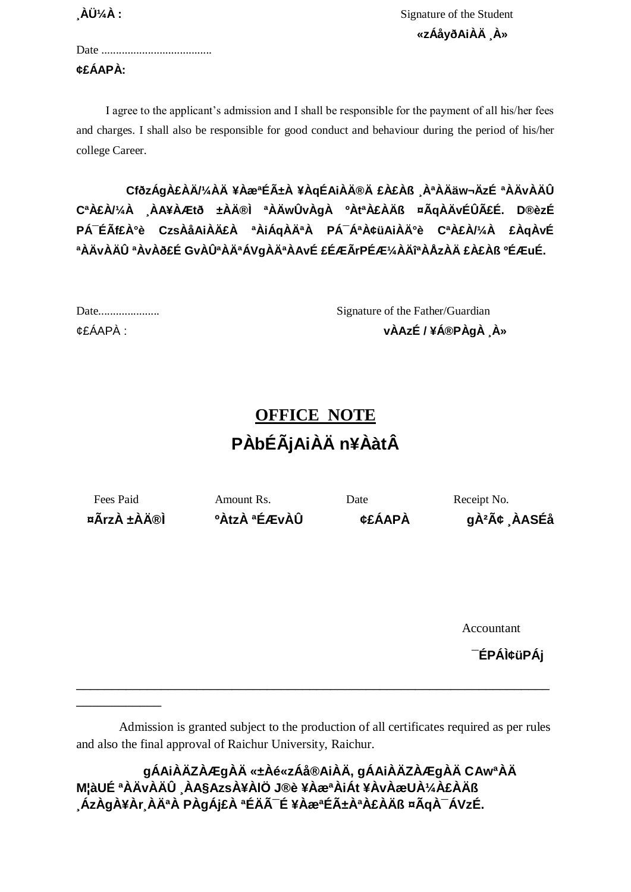$\mathbf{\hat{A}}\mathbf{\hat{U}}\mathbf{A}$  : Signature of the Student  **«zÁåyðAiÀÄ ¸À»**

| ¢£ÁAPÀ: |  |  |
|---------|--|--|

\_\_\_\_\_\_\_\_\_\_\_\_

 I agree to the applicant's admission and I shall be responsible for the payment of all his/her fees and charges. I shall also be responsible for good conduct and behaviour during the period of his/her college Career.

 **CfðzÁgÀ£ÀÄ/¼ÀÄ ¥ÀæªÉñÀ ¥ÀqÉAiÀÄ®Ä £À£Àß ¸ÀªÀÄäw¬ÄzÉ ªÀÄvÀÄÛ CªÀ£À/¼À ¸ÀA¥ÀÆtð ±ÀÄ®Ì ªÀÄwÛvÀgÀ ºÀtªÀ£ÀÄß ¤ÃqÀÄvÉÛãÉ. D®èzÉ PÁ¯ÉÃf£À°è CzsÀåAiÀÄ£À ªÀiÁqÀĪÀ PÁ¯ÁªÀ¢üAiÀİè CªÀ£À/¼À £ÀqÀvÉ ªÀÄvÀÄÛ ªÀvÀð£É GvÀÛªÀĪÁVgÀĪÀAvÉ £ÉÆÃrPÉÆ¼ÀÄîªÀÅzÀÄ £À£Àß ºÉÆuÉ.**

|          | Signature of the Father/Guardian |
|----------|----------------------------------|
| ¢£ÁAPÀ : | vÀAzÉ / ¥Á®PÀgÀ À»               |

# **OFFICE NOTE PÀbÉÃjAiÀÄ n¥ÀàtÂ**

Fees Paid Amount Rs. Date Receipt No. **¤ÃrzÀ ±ÀÄ®Ì ºÀtzÀ ªÉÆvÀÛ ¢£ÁAPÀ gÀ²Ã¢ ¸ÀASÉå**

Accountant

**¯ÉPÁÌ¢üPÁj**

 Admission is granted subject to the production of all certificates required as per rules and also the final approval of Raichur University, Raichur.

\_\_\_\_\_\_\_\_\_\_\_\_\_\_\_\_\_\_\_\_\_\_\_\_\_\_\_\_\_\_\_\_\_\_\_\_\_\_\_\_\_\_\_\_\_\_\_\_\_\_\_\_\_\_\_\_\_\_\_\_\_\_\_\_\_\_\_

 **gÁAiÀÄZÀÆgÀÄ «±Àé«zÁå®AiÀÄ, gÁAiÀÄZÀÆgÀÄ CAwªÀÄ M¦àUÉ ªÀÄvÀÄÛ ¸ÀA§AzsÀ¥ÀlÖ J®è ¥ÀæªÀiÁt ¥ÀvÀæUÀ¼À£ÀÄß ¸ÁzÀgÀ¥Àr¸ÀĪÀ PÀgÁj£À ªÉÄÃ¯É ¥ÀæªÉñÀªÀ£ÀÄß ¤ÃqÀ¯ÁVzÉ.**